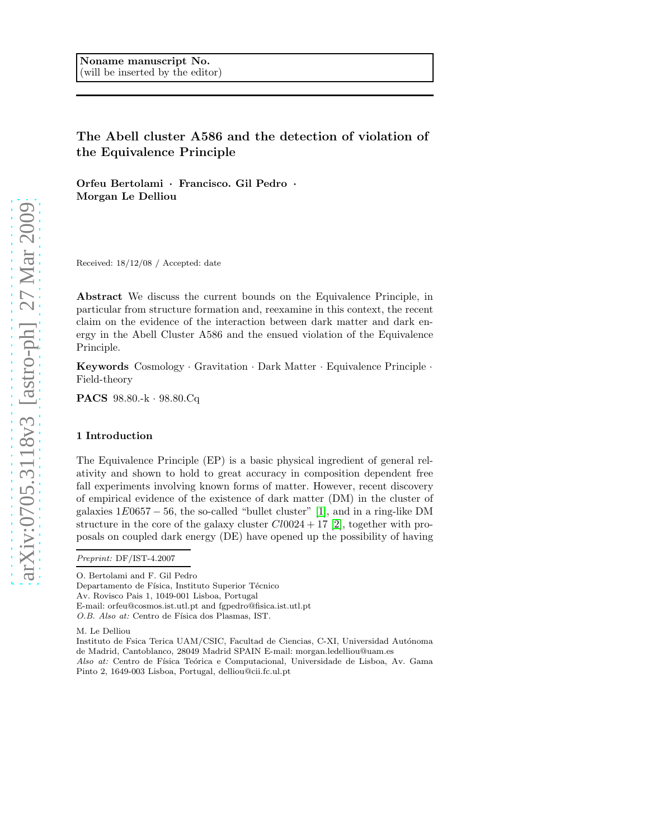# The Abell cluster A586 and the detection of violation of the Equivalence Principle

Orfeu Bertolami · Francisco. Gil Pedro · Morgan Le Delliou

Received: 18/12/08 / Accepted: date

Abstract We discuss the current bounds on the Equivalence Principle, in particular from structure formation and, reexamine in this context, the recent claim on the evidence of the interaction between dark matter and dark energy in the Abell Cluster A586 and the ensued violation of the Equivalence Principle.

Keywords Cosmology · Gravitation · Dark Matter · Equivalence Principle · Field-theory

PACS 98.80.-k · 98.80.Cq

## 1 Introduction

The Equivalence Principle (EP) is a basic physical ingredient of general relativity and shown to hold to great accuracy in composition dependent free fall experiments involving known forms of matter. However, recent discovery of empirical evidence of the existence of dark matter (DM) in the cluster of galaxies  $1E0657 - 56$ , the so-called "bullet cluster" [\[1\]](#page-7-0), and in a ring-like DM structure in the core of the galaxy cluster  $Cl0024 + 17$  [\[2\]](#page-7-1), together with proposals on coupled dark energy (DE) have opened up the possibility of having

O. Bertolami and F. Gil Pedro Departamento de Física, Instituto Superior Técnico Av. Rovisco Pais 1, 1049-001 Lisboa, Portugal E-mail: orfeu@cosmos.ist.utl.pt and fgpedro@fisica.ist.utl.pt O.B. Also at: Centro de Física dos Plasmas, IST.

M. Le Delliou

Instituto de Fsica Terica UAM/CSIC, Facultad de Ciencias, C-XI, Universidad Autónoma de Madrid, Cantoblanco, 28049 Madrid SPAIN E-mail: morgan.ledelliou@uam.es Also at: Centro de Física Teórica e Computacional, Universidade de Lisboa, Av. Gama Pinto 2, 1649-003 Lisboa, Portugal, delliou@cii.fc.ul.pt

*Preprint:* DF/IST-4.2007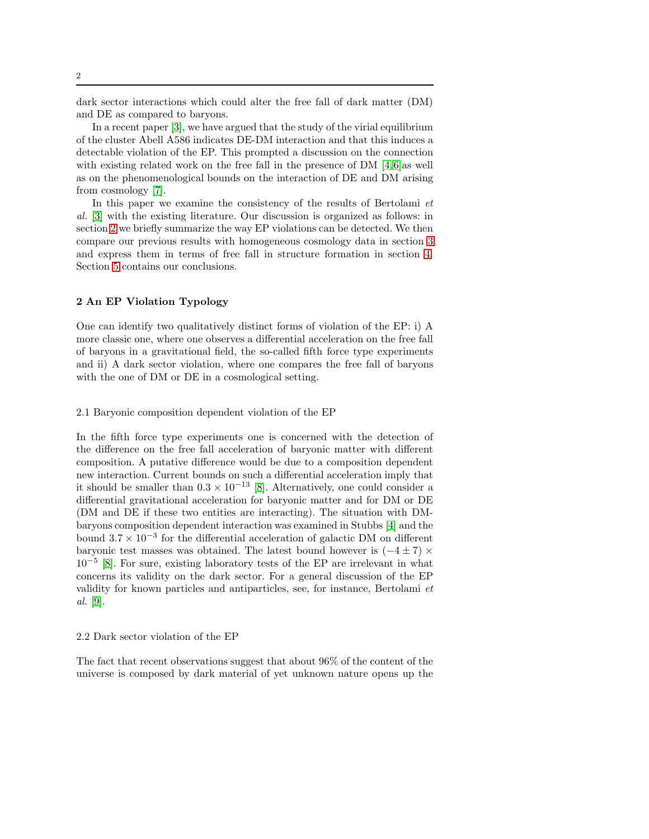dark sector interactions which could alter the free fall of dark matter (DM) and DE as compared to baryons.

In a recent paper [\[3\]](#page-7-2), we have argued that the study of the virial equilibrium of the cluster Abell A586 indicates DE-DM interaction and that this induces a detectable violation of the EP. This prompted a discussion on the connection with existing related work on the free fall in the presence of DM [\[4,](#page-7-3)[6\]](#page-7-4)as well as on the phenomenological bounds on the interaction of DE and DM arising from cosmology [\[7\]](#page-7-5).

In this paper we examine the consistency of the results of Bertolami  $et$ al. [\[3\]](#page-7-2) with the existing literature. Our discussion is organized as follows: in section [2](#page-1-0) we briefly summarize the way EP violations can be detected. We then compare our previous results with homogeneous cosmology data in section [3](#page-2-0) and express them in terms of free fall in structure formation in section [4.](#page-4-0) Section [5](#page-6-0) contains our conclusions.

## <span id="page-1-0"></span>2 An EP Violation Typology

One can identify two qualitatively distinct forms of violation of the EP: i) A more classic one, where one observes a differential acceleration on the free fall of baryons in a gravitational field, the so-called fifth force type experiments and ii) A dark sector violation, where one compares the free fall of baryons with the one of DM or DE in a cosmological setting.

## 2.1 Baryonic composition dependent violation of the EP

In the fifth force type experiments one is concerned with the detection of the difference on the free fall acceleration of baryonic matter with different composition. A putative difference would be due to a composition dependent new interaction. Current bounds on such a differential acceleration imply that it should be smaller than  $0.3 \times 10^{-13}$  [\[8\]](#page-7-6). Alternatively, one could consider a differential gravitational acceleration for baryonic matter and for DM or DE (DM and DE if these two entities are interacting). The situation with DMbaryons composition dependent interaction was examined in Stubbs [\[4\]](#page-7-3) and the bound 3.7 × 10<sup>−</sup><sup>3</sup> for the differential acceleration of galactic DM on different baryonic test masses was obtained. The latest bound however is  $(-4 \pm 7) \times$ 10<sup>-5</sup> [\[8\]](#page-7-6). For sure, existing laboratory tests of the EP are irrelevant in what concerns its validity on the dark sector. For a general discussion of the EP validity for known particles and antiparticles, see, for instance, Bertolami et al. [\[9\]](#page-7-7).

#### 2.2 Dark sector violation of the EP

The fact that recent observations suggest that about 96% of the content of the universe is composed by dark material of yet unknown nature opens up the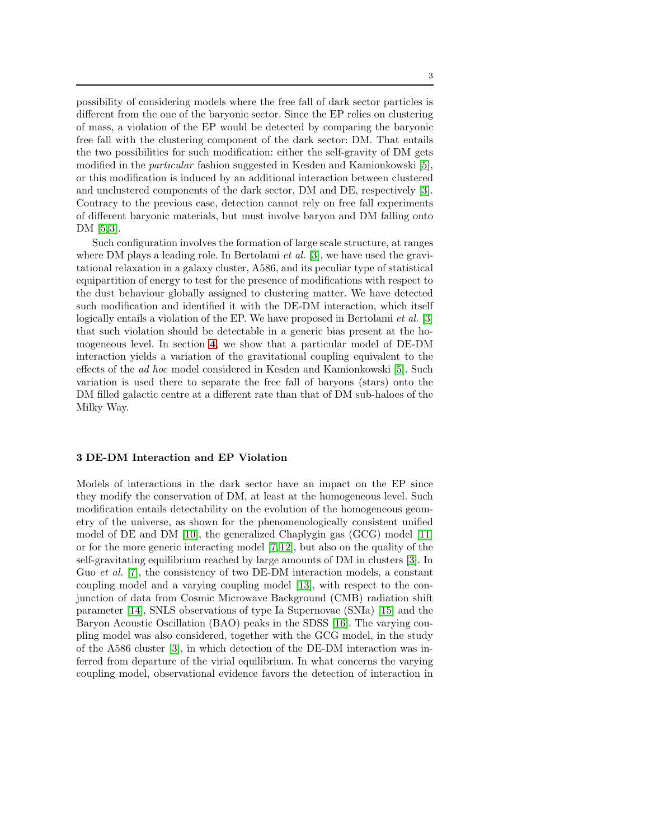possibility of considering models where the free fall of dark sector particles is different from the one of the baryonic sector. Since the EP relies on clustering of mass, a violation of the EP would be detected by comparing the baryonic free fall with the clustering component of the dark sector: DM. That entails the two possibilities for such modification: either the self-gravity of DM gets modified in the particular fashion suggested in Kesden and Kamionkowski [\[5\]](#page-7-8), or this modification is induced by an additional interaction between clustered and unclustered components of the dark sector, DM and DE, respectively [\[3\]](#page-7-2). Contrary to the previous case, detection cannot rely on free fall experiments of different baryonic materials, but must involve baryon and DM falling onto DM [\[5,](#page-7-8)[3\]](#page-7-2).

Such configuration involves the formation of large scale structure, at ranges where DM plays a leading role. In Bertolami *et al.* [\[3\]](#page-7-2), we have used the gravitational relaxation in a galaxy cluster, A586, and its peculiar type of statistical equipartition of energy to test for the presence of modifications with respect to the dust behaviour globally assigned to clustering matter. We have detected such modification and identified it with the DE-DM interaction, which itself logically entails a violation of the EP. We have proposed in Bertolami *et al.* [\[3\]](#page-7-2) that such violation should be detectable in a generic bias present at the homogeneous level. In section [4](#page-4-0), we show that a particular model of DE-DM interaction yields a variation of the gravitational coupling equivalent to the effects of the ad hoc model considered in Kesden and Kamionkowski [\[5\]](#page-7-8). Such variation is used there to separate the free fall of baryons (stars) onto the DM filled galactic centre at a different rate than that of DM sub-haloes of the Milky Way.

## <span id="page-2-0"></span>3 DE-DM Interaction and EP Violation

Models of interactions in the dark sector have an impact on the EP since they modify the conservation of DM, at least at the homogeneous level. Such modification entails detectability on the evolution of the homogeneous geometry of the universe, as shown for the phenomenologically consistent unified model of DE and DM [\[10\]](#page-7-9), the generalized Chaplygin gas (GCG) model [\[11\]](#page-7-10) or for the more generic interacting model [\[7,](#page-7-5)[12\]](#page-8-0), but also on the quality of the self-gravitating equilibrium reached by large amounts of DM in clusters [\[3\]](#page-7-2). In Guo *et al.* [\[7\]](#page-7-5), the consistency of two DE-DM interaction models, a constant coupling model and a varying coupling model [\[13\]](#page-8-1), with respect to the conjunction of data from Cosmic Microwave Background (CMB) radiation shift parameter [\[14\]](#page-8-2), SNLS observations of type Ia Supernovae (SNIa) [\[15\]](#page-8-3) and the Baryon Acoustic Oscillation (BAO) peaks in the SDSS [\[16\]](#page-8-4). The varying coupling model was also considered, together with the GCG model, in the study of the A586 cluster [\[3\]](#page-7-2), in which detection of the DE-DM interaction was inferred from departure of the virial equilibrium. In what concerns the varying coupling model, observational evidence favors the detection of interaction in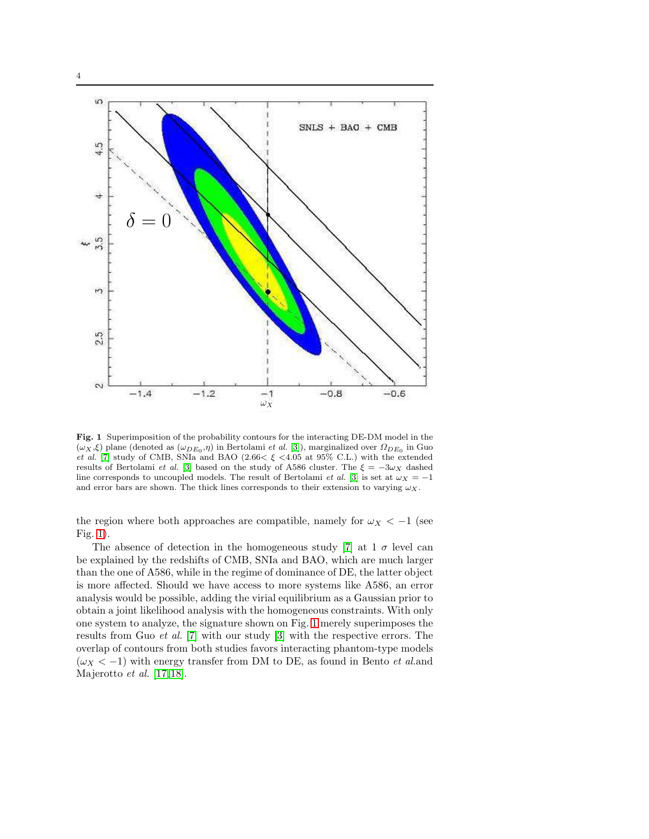



<span id="page-3-0"></span>Fig. 1 Superimposition of the probability contours for the interacting DE-DM model in the  $(\omega_X, \xi)$  plane (denoted as  $(\omega_{DE_0}, \eta)$  in Bertolami *et al.* [\[3\]](#page-7-2)), marginalized over  $\Omega_{DE_0}$  in Guo *et al.* [\[7\]](#page-7-5) study of CMB, SNIa and BAO (2.66 $\lt \xi \lt 4.05$  at 95% C.L.) with the extended results of Bertolami *et al.* [\[3\]](#page-7-2) based on the study of A586 cluster. The  $\xi = -3\omega_X$  dashed line corresponds to uncoupled models. The result of Bertolami *et al.* [\[3\]](#page-7-2) is set at  $\omega_X = -1$ and error bars are shown. The thick lines corresponds to their extension to varying  $\omega_X$ .

the region where both approaches are compatible, namely for  $\omega_X < -1$  (see Fig. [1\)](#page-3-0).

The absence of detection in the homogeneous study [\[7\]](#page-7-5) at  $1 \sigma$  level can be explained by the redshifts of CMB, SNIa and BAO, which are much larger than the one of A586, while in the regime of dominance of DE, the latter object is more affected. Should we have access to more systems like A586, an error analysis would be possible, adding the virial equilibrium as a Gaussian prior to obtain a joint likelihood analysis with the homogeneous constraints. With only one system to analyze, the signature shown on Fig. [1](#page-3-0) merely superimposes the results from Guo et al. [\[7\]](#page-7-5) with our study [\[3\]](#page-7-2) with the respective errors. The overlap of contours from both studies favors interacting phantom-type models  $(\omega_X < -1)$  with energy transfer from DM to DE, as found in Bento *et al.and* Majerotto et al. [\[17,](#page-8-5)[18\]](#page-8-6).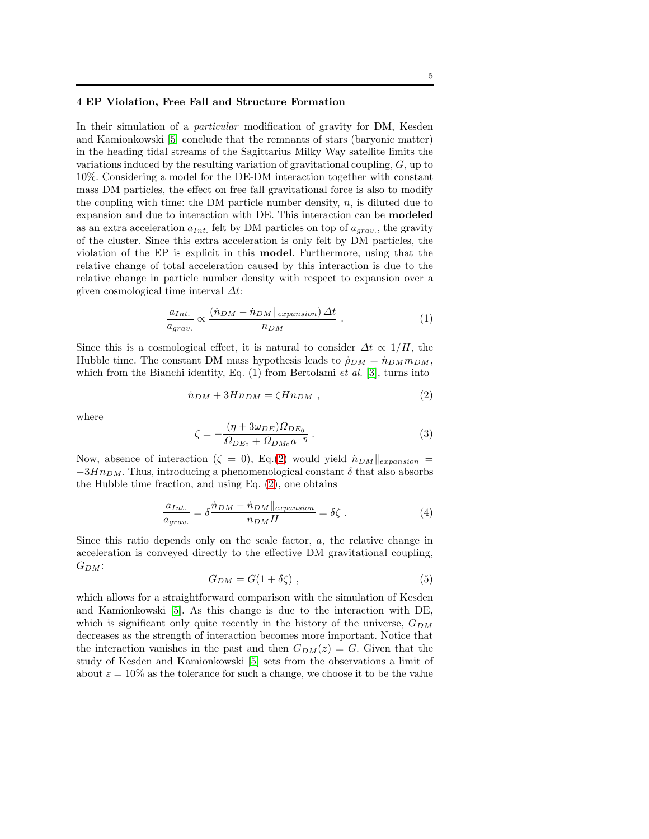### <span id="page-4-0"></span>4 EP Violation, Free Fall and Structure Formation

In their simulation of a *particular* modification of gravity for DM, Kesden and Kamionkowski [\[5\]](#page-7-8) conclude that the remnants of stars (baryonic matter) in the heading tidal streams of the Sagittarius Milky Way satellite limits the variations induced by the resulting variation of gravitational coupling, G, up to 10%. Considering a model for the DE-DM interaction together with constant mass DM particles, the effect on free fall gravitational force is also to modify the coupling with time: the DM particle number density,  $n$ , is diluted due to expansion and due to interaction with DE. This interaction can be modeled as an extra acceleration  $a_{Int.}$  felt by DM particles on top of  $a_{grav.}$ , the gravity of the cluster. Since this extra acceleration is only felt by DM particles, the violation of the EP is explicit in this model. Furthermore, using that the relative change of total acceleration caused by this interaction is due to the relative change in particle number density with respect to expansion over a given cosmological time interval  $\Delta t$ :

$$
\frac{a_{Int.}}{a_{grav.}} \propto \frac{(\dot{n}_{DM} - \dot{n}_{DM}||_{expansion}) \Delta t}{n_{DM}} \tag{1}
$$

Since this is a cosmological effect, it is natural to consider  $\Delta t \propto 1/H$ , the Hubble time. The constant DM mass hypothesis leads to  $\rho_{DM} = \dot{n}_{DM} m_{DM}$ , which from the Bianchi identity, Eq.  $(1)$  from Bertolami et al. [\[3\]](#page-7-2), turns into

<span id="page-4-1"></span>
$$
\dot{n}_{DM} + 3Hn_{DM} = \zeta Hn_{DM} , \qquad (2)
$$

where

$$
\zeta = -\frac{(\eta + 3\omega_{DE})\Omega_{DE_0}}{\Omega_{DE_0} + \Omega_{DM_0} a^{-\eta}}.
$$
\n(3)

Now, absence of interaction ( $\zeta = 0$ ), Eq.[\(2\)](#page-4-1) would yield  $\dot{n}_{DM}||_{expansion} =$  $-3Hn_{DM}$ . Thus, introducing a phenomenological constant  $\delta$  that also absorbs the Hubble time fraction, and using Eq. [\(2\)](#page-4-1), one obtains

$$
\frac{a_{Int.}}{a_{grav.}} = \delta \frac{\dot{n}_{DM} - \dot{n}_{DM} \|_{expansion}}{n_{DM} H} = \delta \zeta . \qquad (4)
$$

Since this ratio depends only on the scale factor,  $a$ , the relative change in acceleration is conveyed directly to the effective DM gravitational coupling,  $G_{DM}$ :

<span id="page-4-2"></span>
$$
G_{DM} = G(1 + \delta \zeta) \tag{5}
$$

which allows for a straightforward comparison with the simulation of Kesden and Kamionkowski [\[5\]](#page-7-8). As this change is due to the interaction with DE, which is significant only quite recently in the history of the universe,  $G_{DM}$ decreases as the strength of interaction becomes more important. Notice that the interaction vanishes in the past and then  $G_{DM}(z) = G$ . Given that the study of Kesden and Kamionkowski [\[5\]](#page-7-8) sets from the observations a limit of about  $\varepsilon = 10\%$  as the tolerance for such a change, we choose it to be the value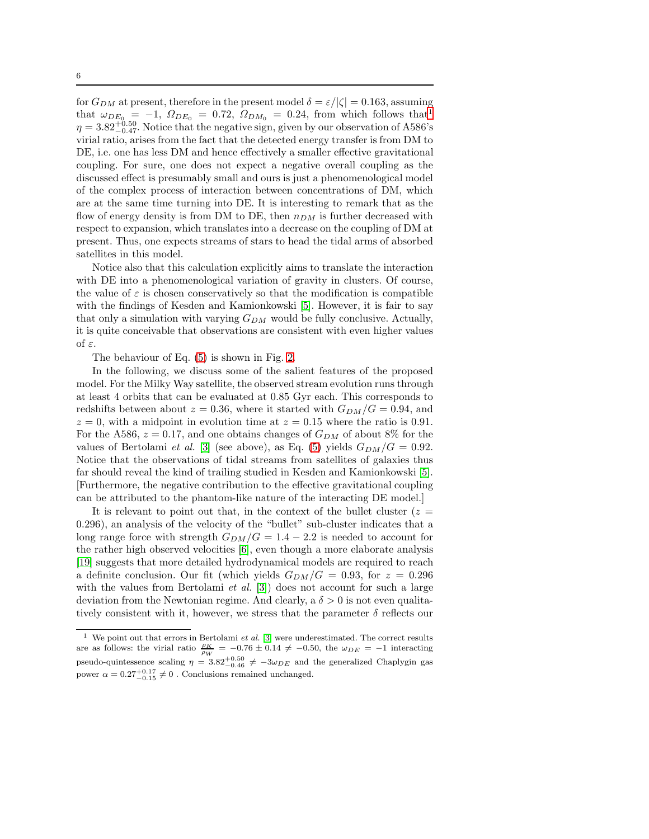for  $G_{DM}$  at present, therefore in the present model  $\delta = \varepsilon / |\zeta| = 0.163$ , assuming that  $\omega_{DE_0} = -1$  $\omega_{DE_0} = -1$ ,  $\Omega_{DE_0} = 0.72$ ,  $\Omega_{DM_0} = 0.24$ , from which follows that<sup>1</sup>  $\eta = 3.82^{+0.50}_{-0.47}$ . Notice that the negative sign, given by our observation of A586's virial ratio, arises from the fact that the detected energy transfer is from DM to DE, i.e. one has less DM and hence effectively a smaller effective gravitational coupling. For sure, one does not expect a negative overall coupling as the discussed effect is presumably small and ours is just a phenomenological model of the complex process of interaction between concentrations of DM, which are at the same time turning into DE. It is interesting to remark that as the flow of energy density is from DM to DE, then  $n_{DM}$  is further decreased with respect to expansion, which translates into a decrease on the coupling of DM at present. Thus, one expects streams of stars to head the tidal arms of absorbed satellites in this model.

Notice also that this calculation explicitly aims to translate the interaction with DE into a phenomenological variation of gravity in clusters. Of course, the value of  $\varepsilon$  is chosen conservatively so that the modification is compatible with the findings of Kesden and Kamionkowski [\[5\]](#page-7-8). However, it is fair to say that only a simulation with varying  $G_{DM}$  would be fully conclusive. Actually, it is quite conceivable that observations are consistent with even higher values of ε.

The behaviour of Eq. [\(5\)](#page-4-2) is shown in Fig. [2.](#page-6-1)

In the following, we discuss some of the salient features of the proposed model. For the Milky Way satellite, the observed stream evolution runs through at least 4 orbits that can be evaluated at 0.85 Gyr each. This corresponds to redshifts between about  $z = 0.36$ , where it started with  $G_{DM}/G = 0.94$ , and  $z = 0$ , with a midpoint in evolution time at  $z = 0.15$  where the ratio is 0.91. For the A586,  $z = 0.17$ , and one obtains changes of  $G_{DM}$  of about 8% for the values of Bertolami et al. [\[3\]](#page-7-2) (see above), as Eq. [\(5\)](#page-4-2) yields  $G_{DM}/G = 0.92$ . Notice that the observations of tidal streams from satellites of galaxies thus far should reveal the kind of trailing studied in Kesden and Kamionkowski [\[5\]](#page-7-8). [Furthermore, the negative contribution to the effective gravitational coupling can be attributed to the phantom-like nature of the interacting DE model.]

It is relevant to point out that, in the context of the bullet cluster  $(z =$ 0.296), an analysis of the velocity of the "bullet" sub-cluster indicates that a long range force with strength  $G_{DM}/G = 1.4 - 2.2$  is needed to account for the rather high observed velocities [\[6\]](#page-7-4), even though a more elaborate analysis [\[19\]](#page-8-7) suggests that more detailed hydrodynamical models are required to reach a definite conclusion. Our fit (which yields  $G_{DM}/G = 0.93$ , for  $z = 0.296$ with the values from Bertolami et al.  $[3]$  does not account for such a large deviation from the Newtonian regime. And clearly, a  $\delta > 0$  is not even qualitatively consistent with it, however, we stress that the parameter  $\delta$  reflects our

<span id="page-5-0"></span><sup>&</sup>lt;sup>1</sup> We point out that errors in Bertolami *et al.* [\[3\]](#page-7-2) were underestimated. The correct results are as follows: the virial ratio  $\frac{\rho_K}{\rho_W}$  = -0.76  $\pm$  0.14  $\neq$  -0.50, the  $\omega_{DE}$  = -1 interacting pseudo-quintessence scaling  $\eta = 3.82_{-0.46}^{+0.50} \neq -3\omega_{DE}$  and the generalized Chaplygin gas power  $\alpha = 0.27_{-0.15}^{+0.17} \neq 0$ . Conclusions remained unchanged.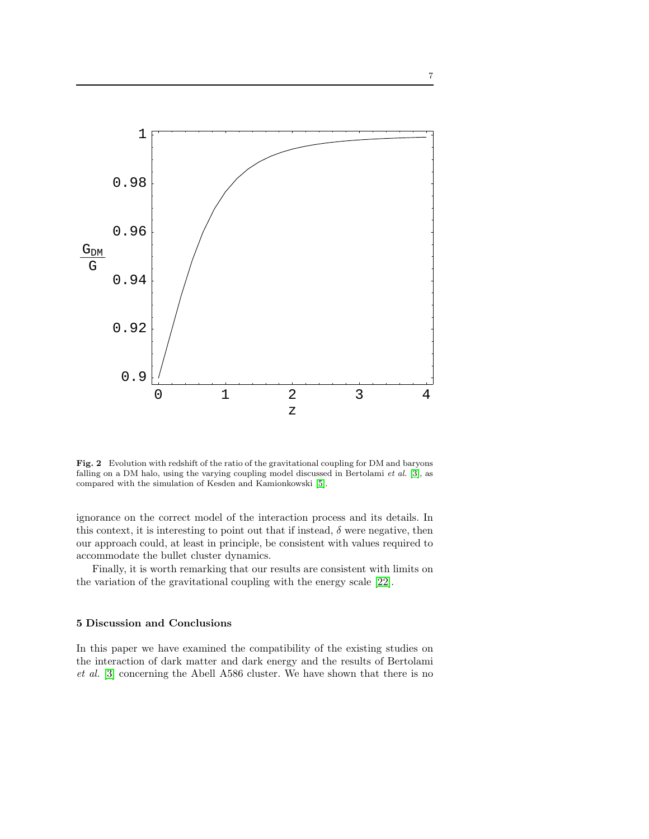

<span id="page-6-1"></span>Fig. 2 Evolution with redshift of the ratio of the gravitational coupling for DM and baryons falling on a DM halo, using the varying coupling model discussed in Bertolami *et al.* [\[3\]](#page-7-2), as compared with the simulation of Kesden and Kamionkowski [\[5\]](#page-7-8).

ignorance on the correct model of the interaction process and its details. In this context, it is interesting to point out that if instead,  $\delta$  were negative, then our approach could, at least in principle, be consistent with values required to accommodate the bullet cluster dynamics.

Finally, it is worth remarking that our results are consistent with limits on the variation of the gravitational coupling with the energy scale [\[22\]](#page-8-8).

## <span id="page-6-0"></span>5 Discussion and Conclusions

In this paper we have examined the compatibility of the existing studies on the interaction of dark matter and dark energy and the results of Bertolami et al. [\[3\]](#page-7-2) concerning the Abell A586 cluster. We have shown that there is no

7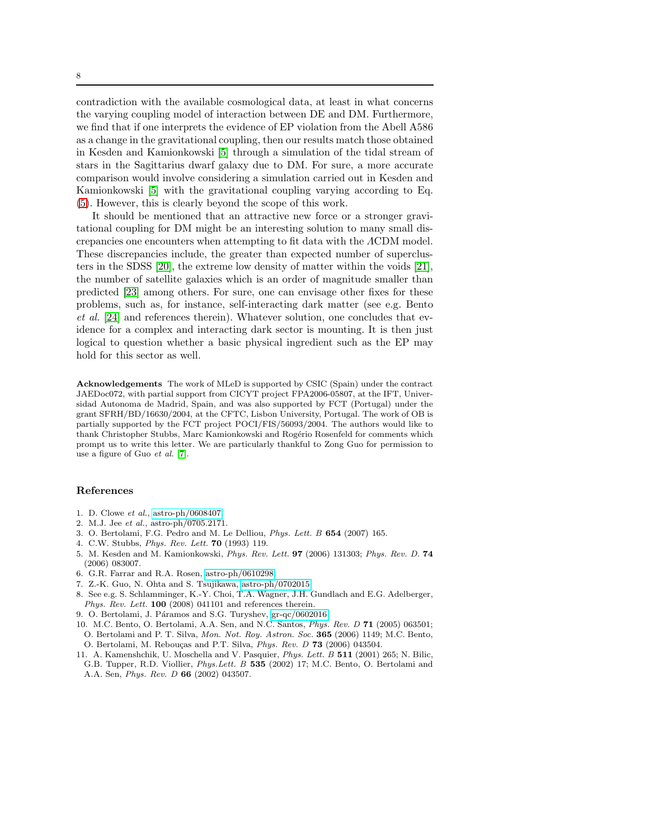contradiction with the available cosmological data, at least in what concerns the varying coupling model of interaction between DE and DM. Furthermore, we find that if one interprets the evidence of EP violation from the Abell A586 as a change in the gravitational coupling, then our results match those obtained in Kesden and Kamionkowski [\[5\]](#page-7-8) through a simulation of the tidal stream of stars in the Sagittarius dwarf galaxy due to DM. For sure, a more accurate comparison would involve considering a simulation carried out in Kesden and Kamionkowski [\[5\]](#page-7-8) with the gravitational coupling varying according to Eq. [\(5\)](#page-4-2). However, this is clearly beyond the scope of this work.

It should be mentioned that an attractive new force or a stronger gravitational coupling for DM might be an interesting solution to many small discrepancies one encounters when attempting to fit data with the ΛCDM model. These discrepancies include, the greater than expected number of superclusters in the SDSS [\[20\]](#page-8-9), the extreme low density of matter within the voids [\[21\]](#page-8-10), the number of satellite galaxies which is an order of magnitude smaller than predicted [\[23\]](#page-8-11) among others. For sure, one can envisage other fixes for these problems, such as, for instance, self-interacting dark matter (see e.g. Bento et al. [\[24\]](#page-8-12) and references therein). Whatever solution, one concludes that evidence for a complex and interacting dark sector is mounting. It is then just logical to question whether a basic physical ingredient such as the EP may hold for this sector as well.

Acknowledgements The work of MLeD is supported by CSIC (Spain) under the contract JAEDoc072, with partial support from CICYT project FPA2006-05807, at the IFT, Universidad Autonoma de Madrid, Spain, and was also supported by FCT (Portugal) under the grant SFRH/BD/16630/2004, at the CFTC, Lisbon University, Portugal. The work of OB is partially supported by the FCT project POCI/FIS/56093/2004. The authors would like to thank Christopher Stubbs, Marc Kamionkowski and Rogério Rosenfeld for comments which prompt us to write this letter. We are particularly thankful to Zong Guo for permission to use a figure of Guo *et al.* [\[7\]](#page-7-5).

#### References

- <span id="page-7-1"></span><span id="page-7-0"></span>1. D. Clowe *et al.*, [astro-ph/0608407.](http://arxiv.org/abs/astro-ph/0608407)
- <span id="page-7-2"></span>2. M.J. Jee *et al.*, astro-ph/0705.2171.
- <span id="page-7-3"></span>3. O. Bertolami, F.G. Pedro and M. Le Delliou, *Phys. Lett. B* 654 (2007) 165.
- <span id="page-7-8"></span>4. C.W. Stubbs, *Phys. Rev. Lett.* 70 (1993) 119.
- 5. M. Kesden and M. Kamionkowski, *Phys. Rev. Lett.* 97 (2006) 131303; *Phys. Rev. D.* 74 (2006) 083007.
- <span id="page-7-5"></span><span id="page-7-4"></span>6. G.R. Farrar and R.A. Rosen, [astro-ph/0610298.](http://arxiv.org/abs/astro-ph/0610298)
- <span id="page-7-6"></span>7. Z.-K. Guo, N. Ohta and S. Tsujikawa, [astro-ph/0702015.](http://arxiv.org/abs/astro-ph/0702015)
- 8. See e.g. S. Schlamminger, K.-Y. Choi, T.A. Wagner, J.H. Gundlach and E.G. Adelberger, *Phys. Rev. Lett.* 100 (2008) 041101 and references therein.
- <span id="page-7-9"></span><span id="page-7-7"></span>9. O. Bertolami, J. Páramos and S.G. Turyshev, [gr-qc/0602016.](http://arxiv.org/abs/gr-qc/0602016)
- 10. M.C. Bento, O. Bertolami, A.A. Sen, and N.C. Santos, *Phys. Rev. D* 71 (2005) 063501; O. Bertolami and P. T. Silva, *Mon. Not. Roy. Astron. Soc.* 365 (2006) 1149; M.C. Bento, O. Bertolami, M. Rebouças and P.T. Silva, *Phys. Rev. D* 73 (2006) 043504.
- <span id="page-7-10"></span>11. A. Kamenshchik, U. Moschella and V. Pasquier, *Phys. Lett. B* 511 (2001) 265; N. Bilic, G.B. Tupper, R.D. Viollier, *Phys.Lett. B* 535 (2002) 17; M.C. Bento, O. Bertolami and A.A. Sen, *Phys. Rev. D* 66 (2002) 043507.